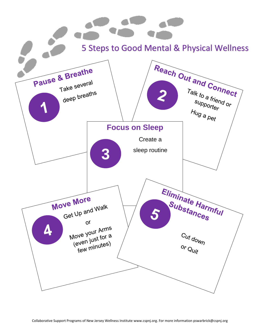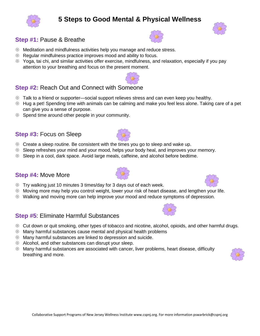# **Step #1:** Pause & Breathe

- Meditation and mindfulness activities help you manage and reduce stress.
- <sup>
®</sup> Regular mindfulness practice improves mood and ability to focus.
- Yoga, tai chi, and similar activities offer exercise, mindfulness, and relaxation, especially if you pay attention to your breathing and focus on the present moment.

# **Step #2:** Reach Out and Connect with Someone

- <sup>38</sup> Talk to a friend or supporter—social support relieves stress and can even keep you healthy.
- Hug a pet! Spending time with animals can be calming and make you feel less alone. Taking care of a pet can give you a sense of purpose.
- $\circledast$  Spend time around other people in your community.

# **Step #3:** Focus on Sleep

- <sup>®</sup> Create a sleep routine. Be consistent with the times you go to sleep and wake up.
- Sleep refreshes your mind and your mood, helps your body heal, and improves your memory.
- Sleep in a cool, dark space. Avoid large meals, caffeine, and alcohol before bedtime.

#### **Step #4:** Move More

- $\circledast$  Try walking just 10 minutes 3 times/day for 3 days out of each week.
- Moving more may help you control weight, lower your risk of heart disease, and lengthen your life.
- Walking and moving more can help improve your mood and reduce symptoms of depression.

### **Step #5**: Eliminate Harmful Substances

- Cut down or quit smoking, other types of tobacco and nicotine, alcohol, opioids, and other harmful drugs.
- $\circledast$  Many harmful substances cause mental and physical health problems
- Many harmful substances are linked to depression and suicide.
- Alcohol, and other substances can disrupt your sleep.
- $\circledast$  Many harmful substances are associated with cancer, liver problems, heart disease, difficulty breathing and more.

# **5 Steps to Good Mental & Physical Wellness**

















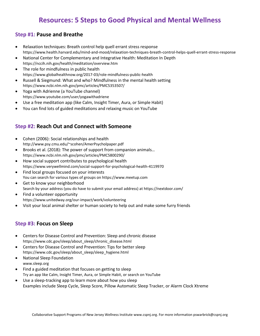# **Resources: 5 Steps to Good Physical and Mental Wellness**

#### **Step #1: Pause and Breathe**

- Relaxation techniques: Breath control help quell errant stress response https://www.health.harvard.edu/mind-and-mood/relaxation-techniques-breath-control-helps-quell-errant-stress-response
- National Center for Complementary and Integrative Health: Meditation In Depth https://nccih.nih.gov/health/meditation/overview.htm
- The role for mindfulness in public health https://www.globalhealthnow.org/2017-03/role-mindfulness-public-health
- Russell & Siegmund: What and who? Mindfulness in the mental health setting https://www.ncbi.nlm.nih.gov/pmc/articles/PMC5353507/
- Yoga with Adrienne (a YouTube channel) https://www.youtube.com/user/yogawithadriene
- Use a free meditation app (like Calm, Insight Timer, Aura, or Simple Habit)
- You can find lots of guided meditations and relaxing music on YouTube

#### **Step #2: Reach Out and Connect with Someone**

- Cohen (2006): Social relationships and health http://www.psy.cmu.edu/~scohen/AmerPsycholpaper.pdf
- Brooks et al. (2018): The power of support from companion animals… https://www.ncbi.nlm.nih.gov/pmc/articles/PMC5800290/
- How social support contributes to psychological health https://www.verywellmind.com/social-support-for-psychological-health-4119970
- Find local groups focused on your interests You can search for various types of groups on https://www.meetup.com
- Get to know your neighborhood Search by your address (you do have to submit your email address) at https://nextdoor.com/
- Find a volunteer opportunity https://www.unitedway.org/our-impact/work/volunteering
- Visit your local animal shelter or human society to help out and make some furry friends

#### **Step #3: Focus on Sleep**

- Centers for Disease Control and Prevention: Sleep and chronic disease https://www.cdc.gov/sleep/about\_sleep/chronic\_disease.html
- Centers for Disease Control and Prevention: Tips for better sleep https://www.cdc.gov/sleep/about\_sleep/sleep\_hygiene.html
- National Sleep Foundation www.sleep.org
- Find a guided meditation that focuses on getting to sleep Try an app like Calm, Insight Timer, Aura, or Simple Habit, or search on YouTube
- Use a sleep-tracking app to learn more about how you sleep Examples include Sleep Cycle, Sleep Score, Pillow Automatic Sleep Tracker, or Alarm Clock Xtreme